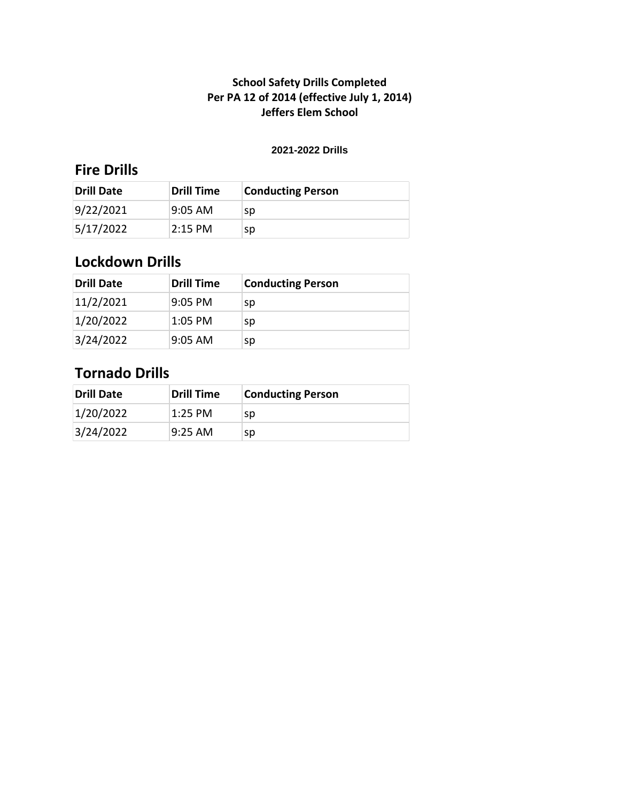#### **2021-2022 Drills**

## **Fire Drills**

| <b>Drill Date</b> | <b>Drill Time</b> | <b>Conducting Person</b> |
|-------------------|-------------------|--------------------------|
| 9/22/2021         | 9:05 AM           | sp                       |
| 5/17/2022         | $2:15$ PM         | sp                       |

## **Lockdown Drills**

| <b>Drill Date</b> | <b>Drill Time</b> | <b>Conducting Person</b> |
|-------------------|-------------------|--------------------------|
| 11/2/2021         | 9:05 PM           | sp                       |
| 1/20/2022         | $1:05$ PM         | sp                       |
| 3/24/2022         | $9:05$ AM         | sp                       |

| Drill Date | Drill Time | <b>Conducting Person</b> |
|------------|------------|--------------------------|
| 1/20/2022  | 1:25 PM    | sp                       |
| 3/24/2022  | l9:25 AM   | sp                       |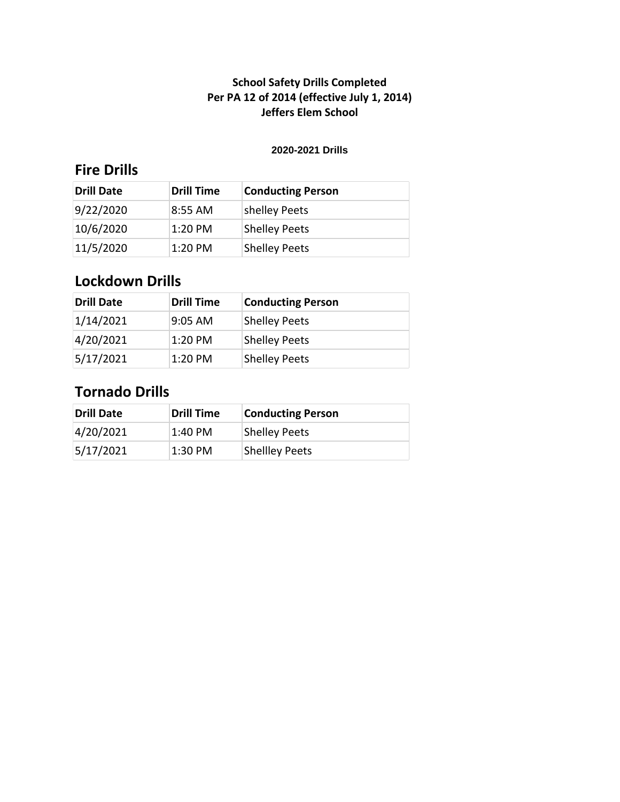#### **2020-2021 Drills**

## **Fire Drills**

| Drill Date | <b>Drill Time</b> | <b>Conducting Person</b> |
|------------|-------------------|--------------------------|
| 9/22/2020  | $8:55$ AM         | shelley Peets            |
| 10/6/2020  | $1:20$ PM         | <b>Shelley Peets</b>     |
| 11/5/2020  | $1:20$ PM         | <b>Shelley Peets</b>     |

# **Lockdown Drills**

| <b>Drill Date</b> | <b>Drill Time</b> | <b>Conducting Person</b> |
|-------------------|-------------------|--------------------------|
| 1/14/2021         | 9:05 AM           | <b>Shelley Peets</b>     |
| 4/20/2021         | $1:20$ PM         | <b>Shelley Peets</b>     |
| 5/17/2021         | $1:20$ PM         | <b>Shelley Peets</b>     |

| Drill Date | Drill Time | <b>Conducting Person</b> |
|------------|------------|--------------------------|
| 4/20/2021  | 1:40 PM    | <b>Shelley Peets</b>     |
| 5/17/2021  | $1:30$ PM  | <b>Shellley Peets</b>    |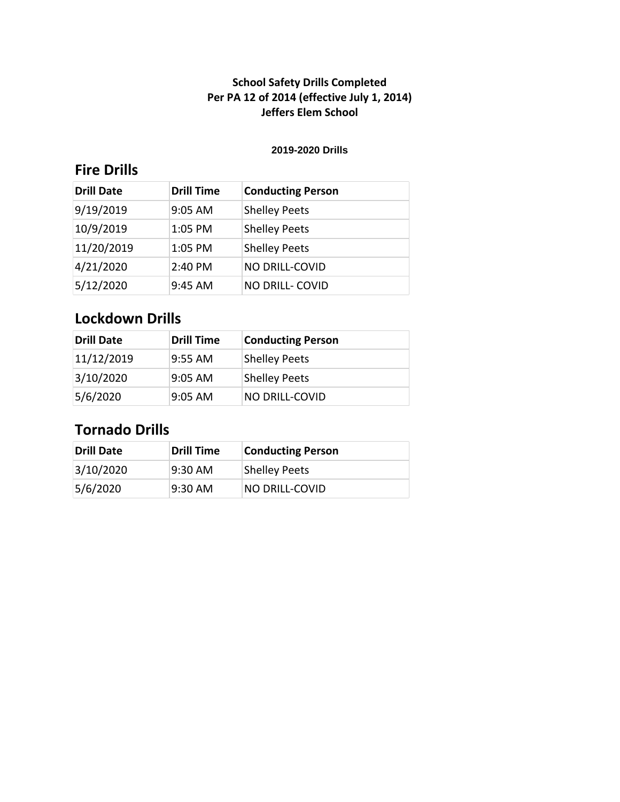#### **2019-2020 Drills**

## **Fire Drills**

| <b>Drill Date</b> | <b>Drill Time</b> | <b>Conducting Person</b> |
|-------------------|-------------------|--------------------------|
| 9/19/2019         | 9:05 AM           | <b>Shelley Peets</b>     |
| 10/9/2019         | 1:05 PM           | <b>Shelley Peets</b>     |
| 11/20/2019        | 1:05 PM           | <b>Shelley Peets</b>     |
| 4/21/2020         | 2:40 PM           | <b>NO DRILL-COVID</b>    |
| 5/12/2020         | $9:45$ AM         | <b>NO DRILL- COVID</b>   |

## **Lockdown Drills**

| <b>Drill Date</b> | <b>Drill Time</b> | <b>Conducting Person</b> |
|-------------------|-------------------|--------------------------|
| 11/12/2019        | l9:55 AM          | <b>Shelley Peets</b>     |
| 3/10/2020         | 9:05 AM           | <b>Shelley Peets</b>     |
| 5/6/2020          | $9:05$ AM         | <b>NO DRILL-COVID</b>    |

| <b>Drill Date</b> | <b>Drill Time</b> | <b>Conducting Person</b> |
|-------------------|-------------------|--------------------------|
| 3/10/2020         | $9:30$ AM         | <b>Shelley Peets</b>     |
| 5/6/2020          | $9:30$ AM         | <b>NO DRILL-COVID</b>    |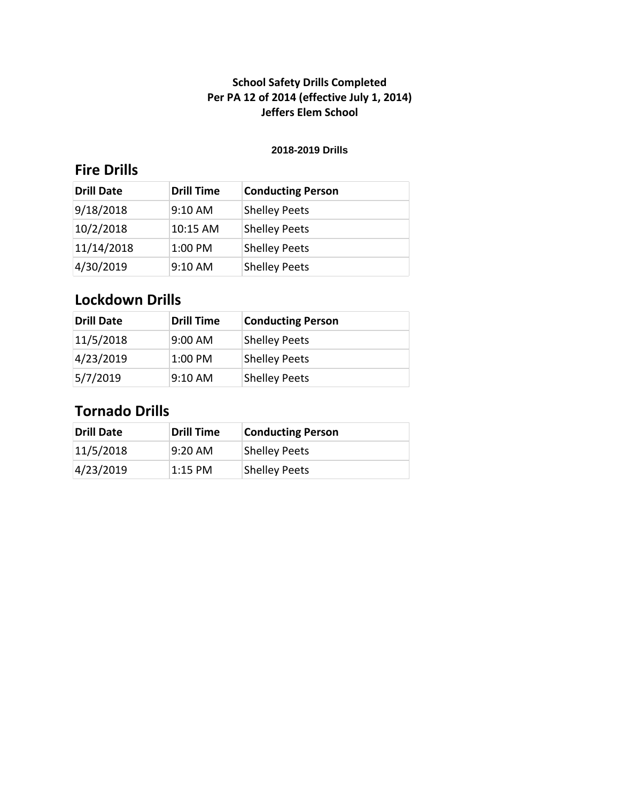#### **2018-2019 Drills**

## **Fire Drills**

| <b>Drill Date</b> | <b>Drill Time</b> | <b>Conducting Person</b> |
|-------------------|-------------------|--------------------------|
| 9/18/2018         | 9:10 AM           | <b>Shelley Peets</b>     |
| 10/2/2018         | 10:15 AM          | <b>Shelley Peets</b>     |
| 11/14/2018        | 1:00 PM           | <b>Shelley Peets</b>     |
| 4/30/2019         | $9:10$ AM         | <b>Shelley Peets</b>     |

# **Lockdown Drills**

| <b>Drill Date</b> | <b>Drill Time</b> | <b>Conducting Person</b> |
|-------------------|-------------------|--------------------------|
| 11/5/2018         | 9:00 AM           | <b>Shelley Peets</b>     |
| 4/23/2019         | $1:00$ PM         | <b>Shelley Peets</b>     |
| 5/7/2019          | 9:10 AM           | <b>Shelley Peets</b>     |

| Drill Date | <b>Drill Time</b> | <b>Conducting Person</b> |
|------------|-------------------|--------------------------|
| 11/5/2018  | $9:20 \text{ AM}$ | <b>Shelley Peets</b>     |
| 4/23/2019  | 1:15 PM           | <b>Shelley Peets</b>     |